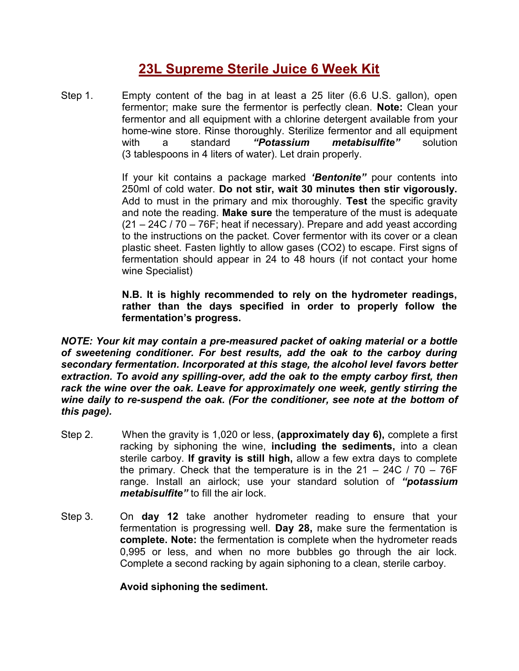## **23L Supreme Sterile Juice 6 Week Kit**

Step 1. Empty content of the bag in at least a 25 liter (6.6 U.S. gallon), open fermentor; make sure the fermentor is perfectly clean. **Note:** Clean your fermentor and all equipment with a chlorine detergent available from your home-wine store. Rinse thoroughly. Sterilize fermentor and all equipment with a standard *"Potassium metabisulfite"* solution (3 tablespoons in 4 liters of water). Let drain properly.

> If your kit contains a package marked *'Bentonite"* pour contents into 250ml of cold water. **Do not stir, wait 30 minutes then stir vigorously.** Add to must in the primary and mix thoroughly. **Test** the specific gravity and note the reading. **Make sure** the temperature of the must is adequate (21 – 24C / 70 – 76F; heat if necessary). Prepare and add yeast according to the instructions on the packet. Cover fermentor with its cover or a clean plastic sheet. Fasten lightly to allow gases (CO2) to escape. First signs of fermentation should appear in 24 to 48 hours (if not contact your home wine Specialist)

> **N.B. It is highly recommended to rely on the hydrometer readings, rather than the days specified in order to properly follow the fermentation's progress.**

*NOTE: Your kit may contain a pre-measured packet of oaking material or a bottle of sweetening conditioner. For best results, add the oak to the carboy during secondary fermentation. Incorporated at this stage, the alcohol level favors better extraction. To avoid any spilling-over, add the oak to the empty carboy first, then rack the wine over the oak. Leave for approximately one week, gently stirring the wine daily to re-suspend the oak. (For the conditioner, see note at the bottom of this page).*

- Step 2. When the gravity is 1,020 or less, **(approximately day 6),** complete a first racking by siphoning the wine, **including the sediments,** into a clean sterile carboy. **If gravity is still high,** allow a few extra days to complete the primary. Check that the temperature is in the  $21 - 24C / 70 - 76F$ range. Install an airlock; use your standard solution of *"potassium metabisulfite"* to fill the air lock.
- Step 3. On **day 12** take another hydrometer reading to ensure that your fermentation is progressing well. **Day 28,** make sure the fermentation is **complete. Note:** the fermentation is complete when the hydrometer reads 0,995 or less, and when no more bubbles go through the air lock. Complete a second racking by again siphoning to a clean, sterile carboy.

**Avoid siphoning the sediment.**